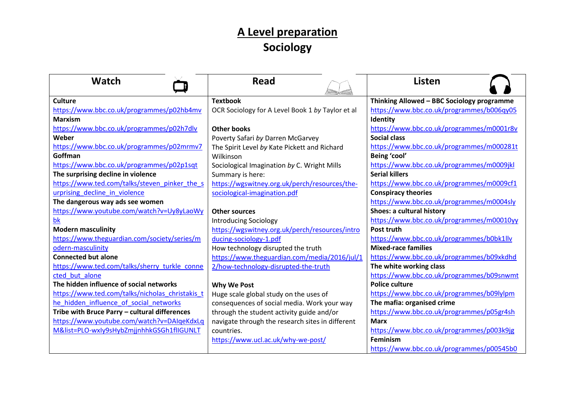## **A Level preparation Sociology**

| <b>Watch</b>                                    | <b>Read</b>                                      | <b>Listen</b>                              |
|-------------------------------------------------|--------------------------------------------------|--------------------------------------------|
| <b>Culture</b>                                  | <b>Textbook</b>                                  | Thinking Allowed - BBC Sociology programme |
| https://www.bbc.co.uk/programmes/p02hb4mv       | OCR Sociology for A Level Book 1 by Taylor et al | https://www.bbc.co.uk/programmes/b006qy05  |
| <b>Marxism</b>                                  |                                                  | Identity                                   |
| https://www.bbc.co.uk/programmes/p02h7dlv       | <b>Other books</b>                               | https://www.bbc.co.uk/programmes/m0001r8v  |
| Weber                                           | Poverty Safari by Darren McGarvey                | <b>Social class</b>                        |
| https://www.bbc.co.uk/programmes/p02mrmv7       | The Spirit Level by Kate Pickett and Richard     | https://www.bbc.co.uk/programmes/m000281t  |
| Goffman                                         | Wilkinson                                        | Being 'cool'                               |
| https://www.bbc.co.uk/programmes/p02p1sqt       | Sociological Imagination by C. Wright Mills      | https://www.bbc.co.uk/programmes/m0009jkl  |
| The surprising decline in violence              | Summary is here:                                 | <b>Serial killers</b>                      |
| https://www.ted.com/talks/steven pinker the s   | https://wgswitney.org.uk/perch/resources/the-    | https://www.bbc.co.uk/programmes/m0009cf1  |
| urprising decline in violence                   | sociological-imagination.pdf                     | <b>Conspiracy theories</b>                 |
| The dangerous way ads see women                 |                                                  | https://www.bbc.co.uk/programmes/m0004sly  |
| https://www.youtube.com/watch?v=Uy8yLaoWy       | <b>Other sources</b>                             | Shoes: a cultural history                  |
| bk                                              | <b>Introducing Sociology</b>                     | https://www.bbc.co.uk/programmes/m00010yy  |
| <b>Modern masculinity</b>                       | https://wgswitney.org.uk/perch/resources/intro   | Post truth                                 |
| https://www.theguardian.com/society/series/m    | ducing-sociology-1.pdf                           | https://www.bbc.co.uk/programmes/b0bk1llv  |
| odern-masculinity                               | How technology disrupted the truth               | <b>Mixed-race families</b>                 |
| <b>Connected but alone</b>                      | https://www.theguardian.com/media/2016/jul/1     | https://www.bbc.co.uk/programmes/b09xkdhd  |
| https://www.ted.com/talks/sherry_turkle_conne   | 2/how-technology-disrupted-the-truth             | The white working class                    |
| cted but alone                                  |                                                  | https://www.bbc.co.uk/programmes/b09snwmt  |
| The hidden influence of social networks         | <b>Why We Post</b>                               | <b>Police culture</b>                      |
| https://www.ted.com/talks/nicholas_christakis_t | Huge scale global study on the uses of           | https://www.bbc.co.uk/programmes/b09lylpm  |
| he hidden influence of social networks          | consequences of social media. Work your way      | The mafia: organised crime                 |
| Tribe with Bruce Parry - cultural differences   | through the student activity guide and/or        | https://www.bbc.co.uk/programmes/p05gr4sh  |
| https://www.youtube.com/watch?v=DAIqeKdxLq      | navigate through the research sites in different | <b>Marx</b>                                |
| M&list=PLO-wxly9sHybZmjjnhhkGSGh1flIGUNLT       | countries.                                       | https://www.bbc.co.uk/programmes/p003k9jg  |
|                                                 | https://www.ucl.ac.uk/why-we-post/               | Feminism                                   |
|                                                 |                                                  | https://www.bbc.co.uk/programmes/p00545b0  |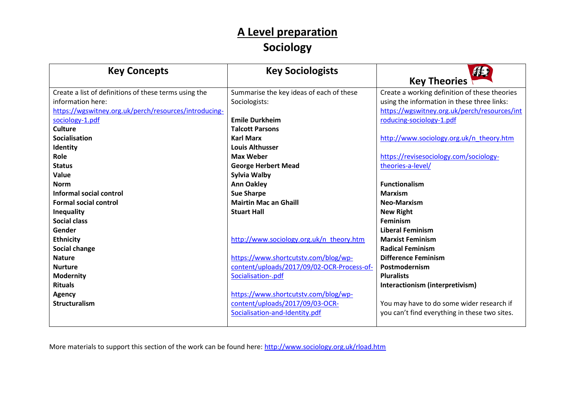## **A Level preparation Sociology**

| <b>Key Concepts</b>                                   | <b>Key Sociologists</b>                    | <b>AB</b><br><b>Key Theories</b>              |
|-------------------------------------------------------|--------------------------------------------|-----------------------------------------------|
| Create a list of definitions of these terms using the | Summarise the key ideas of each of these   | Create a working definition of these theories |
| information here:                                     | Sociologists:                              | using the information in these three links:   |
| https://wgswitney.org.uk/perch/resources/introducing- |                                            | https://wgswitney.org.uk/perch/resources/int  |
| sociology-1.pdf                                       | <b>Emile Durkheim</b>                      | roducing-sociology-1.pdf                      |
| <b>Culture</b>                                        | <b>Talcott Parsons</b>                     |                                               |
| <b>Socialisation</b>                                  | <b>Karl Marx</b>                           | http://www.sociology.org.uk/n theory.htm      |
| Identity                                              | <b>Louis Althusser</b>                     |                                               |
| Role                                                  | <b>Max Weber</b>                           | https://revisesociology.com/sociology-        |
| <b>Status</b>                                         | <b>George Herbert Mead</b>                 | theories-a-level/                             |
| Value                                                 | <b>Sylvia Walby</b>                        |                                               |
| <b>Norm</b>                                           | <b>Ann Oakley</b>                          | <b>Functionalism</b>                          |
| Informal social control                               | <b>Sue Sharpe</b>                          | <b>Marxism</b>                                |
| <b>Formal social control</b>                          | <b>Mairtin Mac an Ghaill</b>               | <b>Neo-Marxism</b>                            |
| Inequality                                            | <b>Stuart Hall</b>                         | <b>New Right</b>                              |
| <b>Social class</b>                                   |                                            | <b>Feminism</b>                               |
| Gender                                                |                                            | <b>Liberal Feminism</b>                       |
| <b>Ethnicity</b>                                      | http://www.sociology.org.uk/n theory.htm   | <b>Marxist Feminism</b>                       |
| Social change                                         |                                            | <b>Radical Feminism</b>                       |
| <b>Nature</b>                                         | https://www.shortcutstv.com/blog/wp-       | <b>Difference Feminism</b>                    |
| <b>Nurture</b>                                        | content/uploads/2017/09/02-OCR-Process-of- | Postmodernism                                 |
| <b>Modernity</b>                                      | Socialisation-.pdf                         | <b>Pluralists</b>                             |
| <b>Rituals</b>                                        |                                            | Interactionism (interpretivism)               |
| <b>Agency</b>                                         | https://www.shortcutstv.com/blog/wp-       |                                               |
| <b>Structuralism</b>                                  | content/uploads/2017/09/03-OCR-            | You may have to do some wider research if     |
|                                                       | Socialisation-and-Identity.pdf             | you can't find everything in these two sites. |
|                                                       |                                            |                                               |

More materials to support this section of the work can be found here:<http://www.sociology.org.uk/rload.htm>